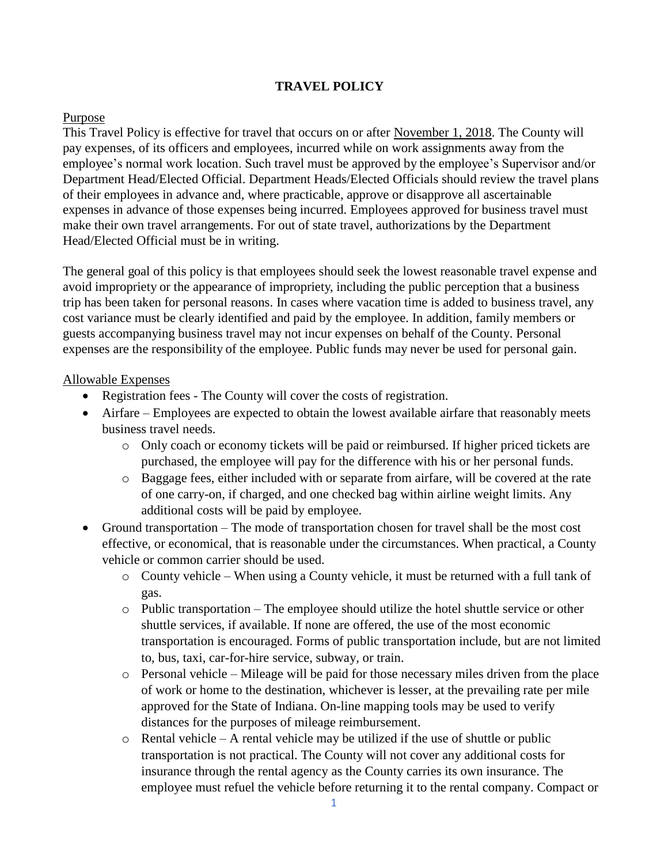# **TRAVEL POLICY**

### Purpose

This Travel Policy is effective for travel that occurs on or after November 1, 2018. The County will pay expenses, of its officers and employees, incurred while on work assignments away from the employee's normal work location. Such travel must be approved by the employee's Supervisor and/or Department Head/Elected Official. Department Heads/Elected Officials should review the travel plans of their employees in advance and, where practicable, approve or disapprove all ascertainable expenses in advance of those expenses being incurred. Employees approved for business travel must make their own travel arrangements. For out of state travel, authorizations by the Department Head/Elected Official must be in writing.

The general goal of this policy is that employees should seek the lowest reasonable travel expense and avoid impropriety or the appearance of impropriety, including the public perception that a business trip has been taken for personal reasons. In cases where vacation time is added to business travel, any cost variance must be clearly identified and paid by the employee. In addition, family members or guests accompanying business travel may not incur expenses on behalf of the County. Personal expenses are the responsibility of the employee. Public funds may never be used for personal gain.

#### Allowable Expenses

- Registration fees The County will cover the costs of registration.
- Airfare Employees are expected to obtain the lowest available airfare that reasonably meets business travel needs.
	- o Only coach or economy tickets will be paid or reimbursed. If higher priced tickets are purchased, the employee will pay for the difference with his or her personal funds.
	- o Baggage fees, either included with or separate from airfare, will be covered at the rate of one carry-on, if charged, and one checked bag within airline weight limits. Any additional costs will be paid by employee.
- Ground transportation The mode of transportation chosen for travel shall be the most cost effective, or economical, that is reasonable under the circumstances. When practical, a County vehicle or common carrier should be used.
	- $\circ$  County vehicle When using a County vehicle, it must be returned with a full tank of gas.
	- $\circ$  Public transportation The employee should utilize the hotel shuttle service or other shuttle services, if available. If none are offered, the use of the most economic transportation is encouraged. Forms of public transportation include, but are not limited to, bus, taxi, car-for-hire service, subway, or train.
	- o Personal vehicle Mileage will be paid for those necessary miles driven from the place of work or home to the destination, whichever is lesser, at the prevailing rate per mile approved for the State of Indiana. On-line mapping tools may be used to verify distances for the purposes of mileage reimbursement.
	- $\circ$  Rental vehicle A rental vehicle may be utilized if the use of shuttle or public transportation is not practical. The County will not cover any additional costs for insurance through the rental agency as the County carries its own insurance. The employee must refuel the vehicle before returning it to the rental company. Compact or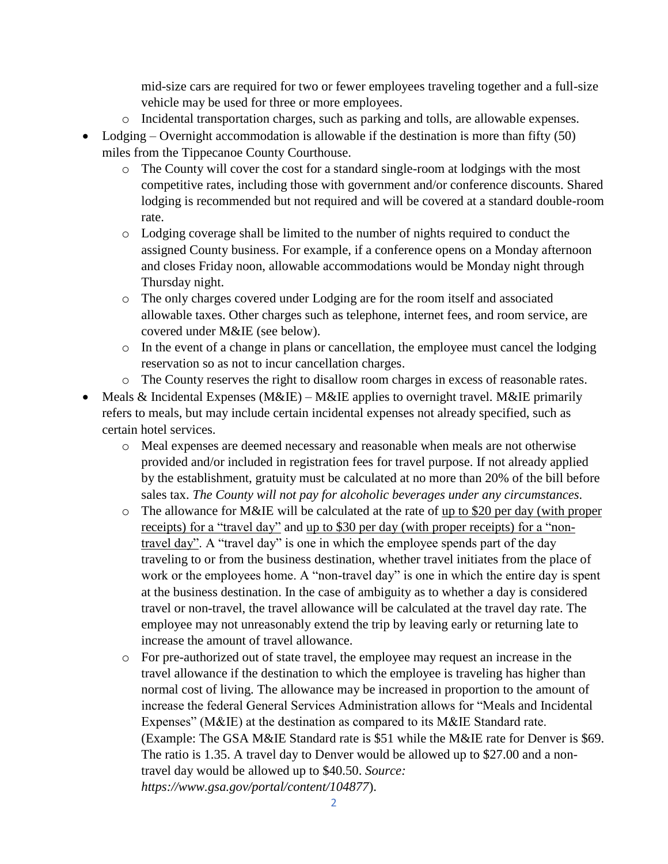mid-size cars are required for two or fewer employees traveling together and a full-size vehicle may be used for three or more employees.

- o Incidental transportation charges, such as parking and tolls, are allowable expenses.
- Lodging Overnight accommodation is allowable if the destination is more than fifty (50) miles from the Tippecanoe County Courthouse.
	- o The County will cover the cost for a standard single-room at lodgings with the most competitive rates, including those with government and/or conference discounts. Shared lodging is recommended but not required and will be covered at a standard double-room rate.
	- o Lodging coverage shall be limited to the number of nights required to conduct the assigned County business. For example, if a conference opens on a Monday afternoon and closes Friday noon, allowable accommodations would be Monday night through Thursday night.
	- o The only charges covered under Lodging are for the room itself and associated allowable taxes. Other charges such as telephone, internet fees, and room service, are covered under M&IE (see below).
	- o In the event of a change in plans or cancellation, the employee must cancel the lodging reservation so as not to incur cancellation charges.
	- o The County reserves the right to disallow room charges in excess of reasonable rates.
- Meals & Incidental Expenses (M&IE) M&IE applies to overnight travel. M&IE primarily refers to meals, but may include certain incidental expenses not already specified, such as certain hotel services.
	- o Meal expenses are deemed necessary and reasonable when meals are not otherwise provided and/or included in registration fees for travel purpose. If not already applied by the establishment, gratuity must be calculated at no more than 20% of the bill before sales tax. *The County will not pay for alcoholic beverages under any circumstances.*
	- o The allowance for M&IE will be calculated at the rate of up to \$20 per day (with proper receipts) for a "travel day" and up to \$30 per day (with proper receipts) for a "nontravel day". A "travel day" is one in which the employee spends part of the day traveling to or from the business destination, whether travel initiates from the place of work or the employees home. A "non-travel day" is one in which the entire day is spent at the business destination. In the case of ambiguity as to whether a day is considered travel or non-travel, the travel allowance will be calculated at the travel day rate. The employee may not unreasonably extend the trip by leaving early or returning late to increase the amount of travel allowance.
	- o For pre-authorized out of state travel, the employee may request an increase in the travel allowance if the destination to which the employee is traveling has higher than normal cost of living. The allowance may be increased in proportion to the amount of increase the federal General Services Administration allows for "Meals and Incidental Expenses" (M&IE) at the destination as compared to its M&IE Standard rate. (Example: The GSA M&IE Standard rate is \$51 while the M&IE rate for Denver is \$69. The ratio is 1.35. A travel day to Denver would be allowed up to \$27.00 and a nontravel day would be allowed up to \$40.50. *Source: https://www.gsa.gov/portal/content/104877*).